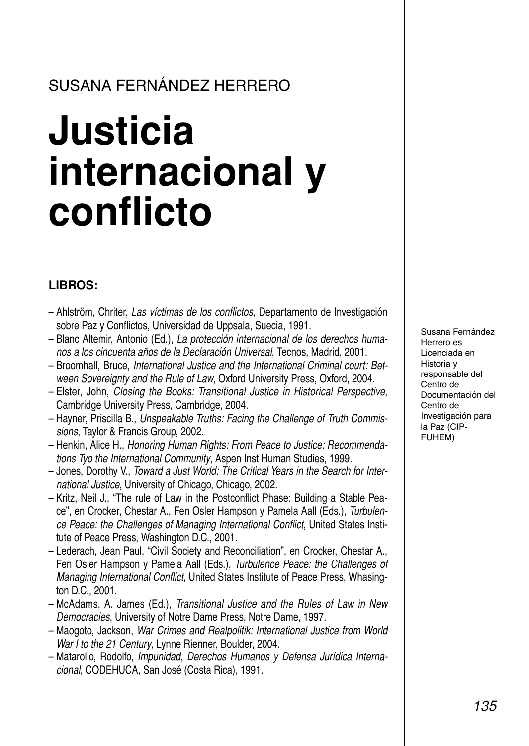### SUSANA FERNÁNDEZ HERRERO

# **Justicia internacional y conflicto**

#### **LIBROS:**

- Ahlström, Chriter, *Las víctimas de los conflictos*, Departamento de Investigación sobre Paz y Conflictos, Universidad de Uppsala, Suecia, 1991.
- Blanc Altemir, Antonio (Ed.), *La protección internacional de los derechos humanos a los cincuenta años de la Declaración Universal*, Tecnos, Madrid, 2001.
- Broomhall, Bruce, *International Justice and the International Criminal court: Between Sovereignty and the Rule of Law*, Oxford University Press, Oxford, 2004.
- Elster, John, *Closing the Books: Transitional Justice in Historical Perspective*, Cambridge University Press, Cambridge, 2004.
- Hayner, Priscilla B., *Unspeakable Truths: Facing the Challenge of Truth Commissions*, Taylor & Francis Group, 2002.
- Henkin, Alice H., *Honoring Human Rights: From Peace to Justice: Recommendations Tyo the International Community*, Aspen Inst Human Studies, 1999.
- Jones, Dorothy V., *Toward a Just World: The Critical Years in the Search for International Justice*, University of Chicago, Chicago, 2002.
- Kritz, Neil J., "The rule of Law in the Postconflict Phase: Building a Stable Peace", en Crocker, Chestar A., Fen Osler Hampson y Pamela Aall (Eds.), *Turbulence Peace: the Challenges of Managing International Conflict*, United States Institute of Peace Press, Washington D.C., 2001.
- Lederach, Jean Paul, "Civil Society and Reconciliation", en Crocker, Chestar A., Fen Osler Hampson y Pamela Aall (Eds.), *Turbulence Peace: the Challenges of Managing International Conflict*, United States Institute of Peace Press, Whasington D.C., 2001.
- McAdams, A. James (Ed.), *Transitional Justice and the Rules of Law in New Democracies*, University of Notre Dame Press, Notre Dame, 1997.
- Maogoto, Jackson, *War Crimes and Realpolitik: International Justice from World War I to the 21 Century*, Lynne Rienner, Boulder, 2004.
- Matarollo, Rodolfo, *Impunidad, Derechos Humanos y Defensa Jurídica Internacional*, CODEHUCA, San José (Costa Rica), 1991.

Susana Fernández Herrero es Licenciada en Historia y responsable del Centro de Documentación del Centro de Investigación para la Paz (CIP-FUHEM)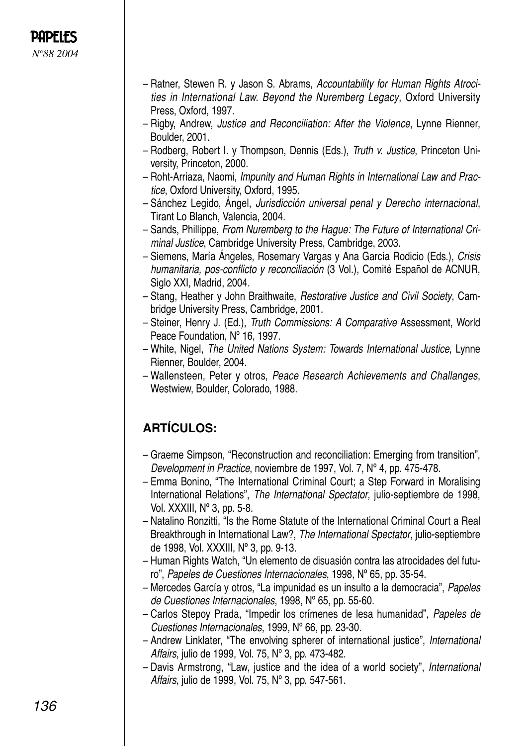- Ratner, Stewen R. y Jason S. Abrams, *Accountability for Human Rights Atrocities in International Law. Beyond the Nuremberg Legacy*, Oxford University Press, Oxford, 1997.
- Rigby, Andrew, *Justice and Reconciliation: After the Violence*, Lynne Rienner, Boulder, 2001.
- Rodberg, Robert I. y Thompson, Dennis (Eds.), *Truth v. Justice*, Princeton University, Princeton, 2000.
- Roht-Arriaza, Naomi, *Impunity and Human Rights in International Law and Practice*, Oxford University, Oxford, 1995.
- Sánchez Legido, Ángel, *Jurisdicción universal penal y Derecho internacional*, Tirant Lo Blanch, Valencia, 2004.
- Sands, Phillippe, *From Nuremberg to the Hague: The Future of International Criminal Justice*, Cambridge University Press, Cambridge, 2003.
- Siemens, María Ángeles, Rosemary Vargas y Ana García Rodicio (Eds.), *Crisis humanitaria, pos-conflicto y reconciliación* (3 Vol.), Comité Español de ACNUR, Siglo XXI, Madrid, 2004.
- Stang, Heather y John Braithwaite, *Restorative Justice and Civil Society*, Cambridge University Press, Cambridge, 2001.
- Steiner, Henry J. (Ed.), *Truth Commissions: A Comparative* Assessment, World Peace Foundation, Nº 16, 1997.
- White, Nigel, *The United Nations System: Towards International Justice*, Lynne Rienner, Boulder, 2004.
- Wallensteen, Peter y otros, *Peace Research Achievements and Challanges*, Westwiew, Boulder, Colorado, 1988.

#### **ARTÍCULOS:**

- Graeme Simpson, "Reconstruction and reconciliation: Emerging from transition", *Development in Practice*, noviembre de 1997, Vol. 7, Nº 4, pp. 475-478.
- Emma Bonino, "The International Criminal Court; a Step Forward in Moralising International Relations", *The International Spectator*, julio-septiembre de 1998, Vol. XXXIII, Nº 3, pp. 5-8.
- Natalino Ronzitti, "Is the Rome Statute of the International Criminal Court a Real Breakthrough in International Law?, *The International Spectator*, julio-septiembre de 1998, Vol. XXXIII, Nº 3, pp. 9-13.
- Human Rights Watch, "Un elemento de disuasión contra las atrocidades del futuro", *Papeles de Cuestiones Internacionales*, 1998, Nº 65, pp. 35-54.
- Mercedes García y otros, "La impunidad es un insulto a la democracia", *Papeles de Cuestiones Internacionales*, 1998, Nº 65, pp. 55-60.
- Carlos Stepoy Prada, "Impedir los crímenes de lesa humanidad", *Papeles de Cuestiones Internacionales*, 1999, Nº 66, pp. 23-30.
- Andrew Linklater, "The envolving spherer of international justice", *International Affairs*, julio de 1999, Vol. 75, Nº 3, pp. 473-482.
- Davis Armstrong, "Law, justice and the idea of a world society", *International Affairs*, julio de 1999, Vol. 75, Nº 3, pp. 547-561.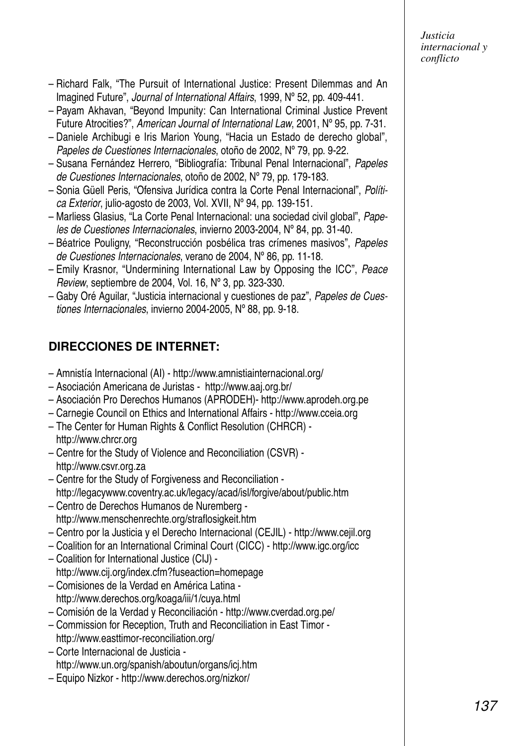*Justicia internacional y conflicto*

- Richard Falk, "The Pursuit of International Justice: Present Dilemmas and An Imagined Future", *Journal of International Affairs*, 1999, Nº 52, pp. 409-441.
- Payam Akhavan, "Beyond Impunity: Can International Criminal Justice Prevent Future Atrocities?", *American Journal of International Law*, 2001, Nº 95, pp. 7-31.
- Daniele Archibugi e Iris Marion Young, "Hacia un Estado de derecho global", *Papeles de Cuestiones Internacionales*, otoño de 2002, Nº 79, pp. 9-22.
- Susana Fernández Herrero, "Bibliografía: Tribunal Penal Internacional", *Papeles de Cuestiones Internacionales*, otoño de 2002, Nº 79, pp. 179-183.
- Sonia Güell Peris, "Ofensiva Jurídica contra la Corte Penal Internacional", *Política Exterior*, julio-agosto de 2003, Vol. XVII, Nº 94, pp. 139-151.
- Marliess Glasius, "La Corte Penal Internacional: una sociedad civil global", *Papeles de Cuestiones Internacionales*, invierno 2003-2004, Nº 84, pp. 31-40.
- Béatrice Pouligny, "Reconstrucción posbélica tras crímenes masivos", *Papeles de Cuestiones Internacionales*, verano de 2004, Nº 86, pp. 11-18.
- Emily Krasnor, "Undermining International Law by Opposing the ICC", *Peace Review*, septiembre de 2004, Vol. 16, Nº 3, pp. 323-330.
- Gaby Oré Aguilar, "Justicia internacional y cuestiones de paz", *Papeles de Cuestiones Internacionales*, invierno 2004-2005, Nº 88, pp. 9-18.

#### **DIRECCIONES DE INTERNET:**

- Amnistía Internacional (AI) http://www.amnistiainternacional.org/
- Asociación Americana de Juristas http://www.aaj.org.br/
- Asociación Pro Derechos Humanos (APRODEH)- http://www.aprodeh.org.pe
- Carnegie Council on Ethics and International Affairs http://www.cceia.org
- The Center for Human Rights & Conflict Resolution (CHRCR) http://www.chrcr.org
- Centre for the Study of Violence and Reconciliation (CSVR) http://www.csvr.org.za
- Centre for the Study of Forgiveness and Reconciliation http://legacywww.coventry.ac.uk/legacy/acad/isl/forgive/about/public.htm
- Centro de Derechos Humanos de Nuremberg http://www.menschenrechte.org/straflosigkeit.htm
- Centro por la Justicia y el Derecho Internacional (CEJIL) http://www.cejil.org
- Coalition for an International Criminal Court (CICC) http://www.igc.org/icc
- Coalition for International Justice (CIJ) http://www.cij.org/index.cfm?fuseaction=homepage
- Comisiones de la Verdad en América Latina http://www.derechos.org/koaga/iii/1/cuya.html
- Comisión de la Verdad y Reconciliación http://www.cverdad.org.pe/
- Commission for Reception, Truth and Reconciliation in East Timor http://www.easttimor-reconciliation.org/
- Corte Internacional de Justicia http://www.un.org/spanish/aboutun/organs/icj.htm
- Equipo Nizkor http://www.derechos.org/nizkor/